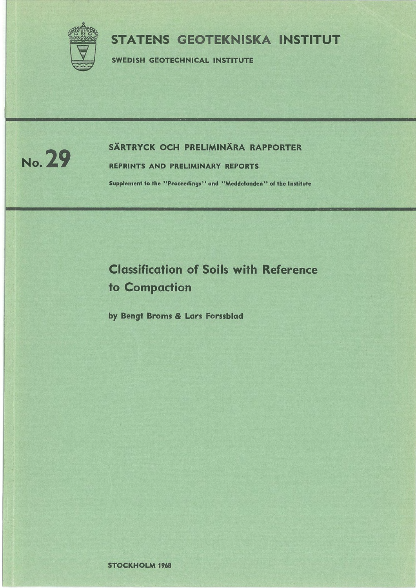

# STATENS GEOTEKNISKA INSTITUT

SWEDISH GEOTECHNICAL INSTITUTE



# SÄRTRYCK OCH PRELIMINÄRA RAPPORTER NO. 29

REPRINTS AND PRELIMINARY REPORTS

Supplement to the "Proceedings" and "Meddelanden" of the Institute

# Classification of Soils with Reference to Compaction

by Bengt Broms *&* Lars Forssblad

STOCKHOLM 1968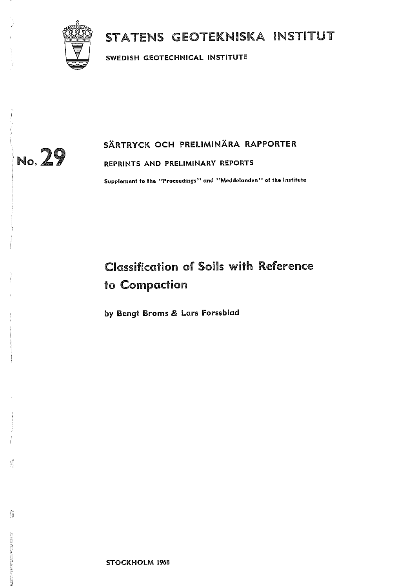

# STATENS GEOTEKNISKA INSTITUT

**SWEDISH GEOTECHNICAL INSTITUTE** 



Š

# **SARTRYCK OCH PRELIMINARA RAPPORTER**

**REPRINTS AND PRELIMINARY REPORTS** 

**Supplement to the ''Proceedings'' and ''Meddelanden'' of the Institute** 

# Classification of Soils with Reference to Compaction

**by Bengt Broms** & **Lars Forssblad** 

**STOCKHOLM 1968**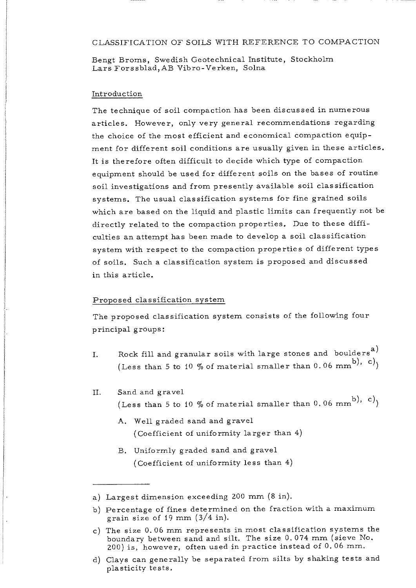#### CLASSIFICATION OF SOILS WITH REFERENCE TO COMPACTION

Bengt Broms, Swedish Geotechnical Institute, Stockholm Lars Forssblad,AB Vibro-Verken, Solna

#### Introduction

The technique of soil compaction has been discussed in numerous articles. However, only very general recommendations regarding the choice of the most efficient and economical compaction equipment for different soil conditions are usually given in these articles. It is therefore often difficult to decide which type of compaction equipment should be used for different soils on the bases of routine soil investigations and from presently available soil classification systems. The usual classification systems for fine grained soils which are based on the liquid and plastic limits can frequently not be directly related to the compaction properties. Due to these difficulties an attempt has been made to develop a soil classification system with respect to the compaction properties of different types of soils. Such a classification system is proposed and discussed in this article.

#### Proposed classification system

The proposed classification system consists of the following four principal groups:

- I. Rock fill and granular soils with large stones and boulders<sup>a)</sup> (Less than 5 to 10 % of material smaller than 0.06 mm<sup>b</sup>), c)
- II. Sand and gravel (Less than 5 to 10 % of material smaller than 0.06 mm<sup>b</sup>), c)<sub>)</sub>
	- A. Well graded sand and gravel ( Coefficient of uniformity larger than 4)
	- B. Uniformly graded sand and gravel ( Coefficient of uniformity less than 4)

a) Largest dimension exceeding 200 mm (8 in).

b) Percentage of fines determined on the fraction with a maximum grain size of 19 mm (3/4 in).

c) The size 0. 06 mm represents in most classification systems the boundary between sand and silt. The size 0. 074 mm (sieve No. 200) is, however, often used in practice instead of 0, 06 mm.

d) Clays can generally be separated from silts by shaking tests and plasticity tests.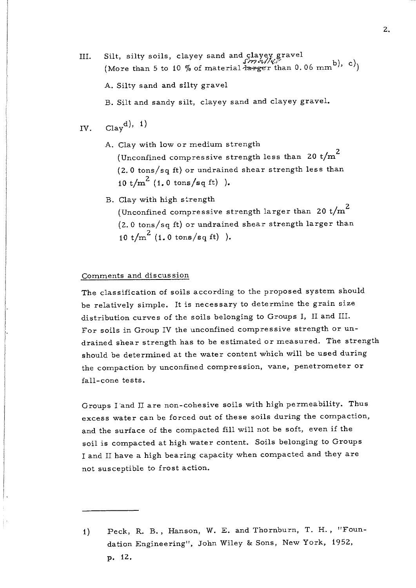- III. Silt, silty soils, clayey sand and clayey gravel (More than 5 to 10 % of material  $\frac{1}{4\pi r g c \cdot r}$  than 0.06 mm<sup>b</sup>), c)<sub>1</sub>
	- A. Silty sand and silty gravel

B. Silt and sandy silt, clayey sand and clayey gravel.

IV. 
$$
Clay^{d}
$$
, 1)

- A. Clay with low or medium strength (Unconfined compressive strength less than 20 t/m $^{\mathrm{2}}$ (2. 0 tons/sq ft) or undrained shear strength less than 10 t/ $m^2$  (1.0 tons/sq ft)).
- B. Clay with high strength (Unconfined compressive strength larger than 20 t/m $^{\mathrm{2}}$ (2. 0 tons/sq ft) or undrained shear strength larger than 10 t/m<sup>2</sup> (1.0 tons/sq ft)).

#### Comments and discussion

The classification of soils according to the proposed system should be relatively simple. It is necessary to determine the grain size distribution curves of the soils belonging to Groups I, II and III. For soils in Group IV the unconfined compressive strength or undrained shear strength has to be estimated or measured. The strength should be determined at the water content which will be used during the compaction by unconfined compression, vane, penetrometer or fall-cone tests.

Groups I and II are non-cohesive soils with high permeability. Thus excess water can be forced out of these soils during the compaction, and the surface of the compacted fill will not be soft, even if the soil is compacted at high water content. Soils belonging to Groups I and II have a high bearing capacity when compacted and they are not susceptible to frost action.

1) Peck, R. B., Hanson, W. E. and Thornburn, T. H., "Foundation Engineering", John Wiley & Sons, New York, 1952, p. 12.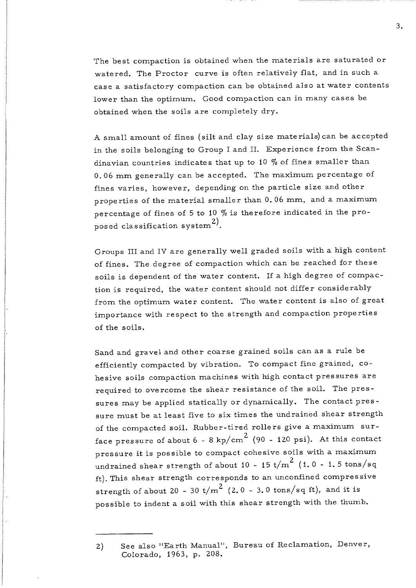The best compaction is obtained when the materials are saturated or watered. The Proctor curve is often relatively flat, and in such a case a satisfactory compaction can be obtained also at water contents lower than the optimum. Good compaction can in many cases be obtained when the soils are completely dry.

A small amount of fines (silt and clay size materials) can be accepted in the soils belonging to Group I and II. Experience from the Scandinavian countries indicates that up to 10  $%$  of fines smaller than 0. 06 mm generally can be accepted. The maximum percentage of fines varies, however, depending on the particle size and other properties of the material smaller than 0. 06 mm, and a maximum percentage of fines of 5 to 10  $\%$  is therefore indicated in the proposed classification system  $^{2)}$ .

Groups III and IV are generally well graded soils with a high content of fines. The degree of compaction which can be reached for these soils is dependent of the water content. If a high degree of compaction is required, the water content should not differ considerably from the optimum water content. The water content is also of great importance with respect to the strength and compaction properties of the soils.

Sand and gravel and other coarse grained soils can as a rule be efficiently compacted by vibration. To compact fine grained, cohesive soils compaction machines with high contact pressures are required to overcome the shear resistance of the soil. The pressures may be applied statically or dynamically. The contact pressure must be at least five to six times the undrained shear strength of the compacted soil. Rubber-tired rollers give a maximum surface pressure of about 6 - 8 kp/cm<sup>2</sup> (90 - 120 psi). At this contact pressure it is possible to compact cohesive soils with a maximum  $\frac{1}{2}$  undrained shear strength of about 10 - 15 t/m<sup>2</sup> (1.0 - 1.5 tons/sq ft). This shear strength corresponds to an unconfined compressive strength of about 20 - 30 t/m<sup>2</sup> (2.0 - 3.0 tons/sq ft), and it is possible to indent a soil with this shear strength with the thumb.

3.

<sup>2)</sup> See also "Earth Manual", Bureau of Reclamation, Denver, Colorado, 1963, p, 208.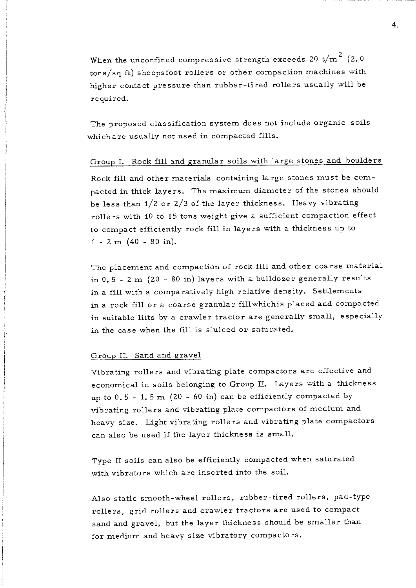When the unconfined compressive strength exceeds 20 t/m  $^{\rm 2}$  (2.0  $\,$ tons/sq ft) sheepsfoot rollers or other compaction machines with higher contact pressure than rubber-tired rollers usually will be required.

The proposed classification system does not include organic soils which are usually not used in compacted fills.

## Group I. Rock fill and granular soils with large stones and boulders

Rock fill and other materials containing large stones must be compacted in thick layers. The maximum diameter of the stones should be less than  $1/2$  or  $2/3$  of the layer thickness. Heavy vibrating rollers with 10 to 15 tons weight give a sufficient compaction effect to compact efficiently rock fill in layers with a thickness up to  $1 - 2$  m  $(40 - 80$  in).

The placement and compaction of rock fill and other coarse material in  $0.5 - 2$  m  $(20 - 80$  in) layers with a bulldozer generally results in a fill with a comparatively high relative density. Settlements in a rock fill or a coarse granular fill which is placed and compacted in suitable lifts by a crawler tractor are generally small, especially in the case when the fill is sluiced or saturated.

### Group II. Sand and gravel

Vibrating rollers and vibrating plate compactors are effective and economical in soils belonging to Group II. Layers with a thickness up to  $0.5 - 1.5$  m  $(20 - 60$  in) can be efficiently compacted by vibrating rollers and vibrating plate compactors of medium and heavy size. Light vibrating rollers and vibrating plate compactors can also be used if the layer thickness is small.

Type II soils can also be efficiently compacted when saturated with vibrators which are inserted into the soil.

Also static smooth-wheel rollers, rubber-tired rollers, pad-type rollers, grid rollers and crawler tractors are used to compact sand and gravel, but the layer thickness should be smaller than for medium and heavy size vibratory compactors.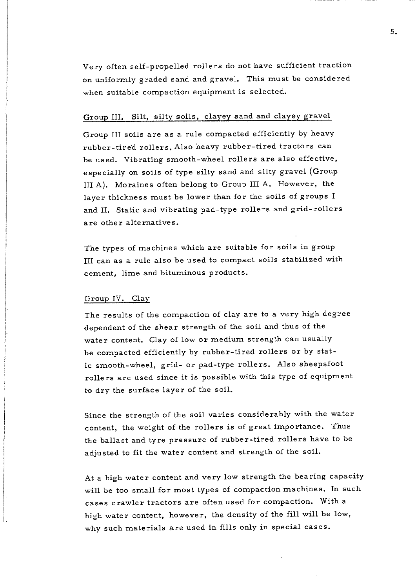Very often self-propelled rollers do not have sufficient traction on uniformly graded sand and gravel. This must be considered when suitable compaction equipment is selected.

## Group III. Silt, silty soils, clayey sand and clayey gravel

Group III soils are as a rule compacted efficiently by heavy rubber-tired rollers. Also heavy rubber-tired tractors can be used. Vibrating smooth-wheel rollers are also effective, especially on soils of type silty sand and silty gravel (Group III A). Moraines often belong to Group III A. However, the layer thickness must be lower than for the soils of groups I and II. Static and vibrating pad-type rollers and grid-rollers are other alternatives.

The types of machines which are suitable for soils in group III can as a rule also be used to compact soils stabilized with cement, lime and bituminous products.

#### Group IV. Clay

The results of the compaction of clay are to a very high degree dependent of the shear strength of the soil and thus of the water content. Clay of low or medium strength can usually be compacted efficiently by rubber-tired rollers or by static smooth-wheel, grid- or pad-type rollers. Also sheepsfoot rollers are used since it is possible with this type of equipment to dry the surface layer of the soil.

Since the strength of the soil varies considerably with the water content, the weight of the rollers is of great importance. Thus the ballast and tyre pressure of rubber-tired rollers have to be adjusted to fit the water content and strength of the soil.

At a high water content and very low strength the bearing capacity will be too small for most types of compaction machines. In such cases crawler tractors are often used for compaction. With a high water content, however, the density of the fill will be low, why such materials are used in fills only in special cases.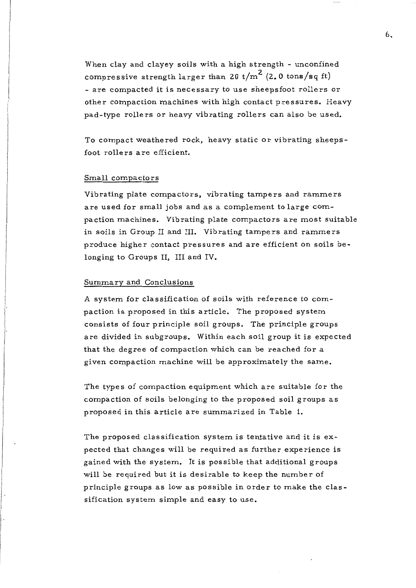When clay and clayey soils with a high strength - unconfined compressive strength larger than 20 t/m<sup>2</sup> (2.0 tons/sq ft) - are compacted it is necessary to use sheepsfoot rollers or other compaction machines with high contact pressures. Heavy pad-type rollers or heavy vibrating rollers can also be used.

To compact weathered rock, heavy static or vibrating sheepsfoot rollers are efficient.

### Small compactors

Vibrating plate compactors, vibrating tampers and rammers are used for small jobs and as a complement to large compaction machines. Vibrating plate compactors are most suitable in soils in Group II and III. Vibrating tampers and rammers produce higher contact pressures and are efficient on soils belonging to Groups II, III and IV.

### Summary and Conclusions

A system for classification of soils with reference to compaction is proposed in this article. The proposed system consists of four principle soil groups. The principle groups are divided in subgroups. Within each soil group it is expected that the degree of compaction which can be reached for a given compaction machine will be approximately the same.

The types of compaction equipment which are suitable for the compaction of soils belonging to the proposed soil groups as proposed in this article are summarized in Table 1.

The proposed classification system is tentative and it is expected that changes will be required as further experience is gained with the system. It is possible that additional groups **will** be required but it is desirable to keep the number of principle groups as low as possible in order to make the classification system simple and easy to use.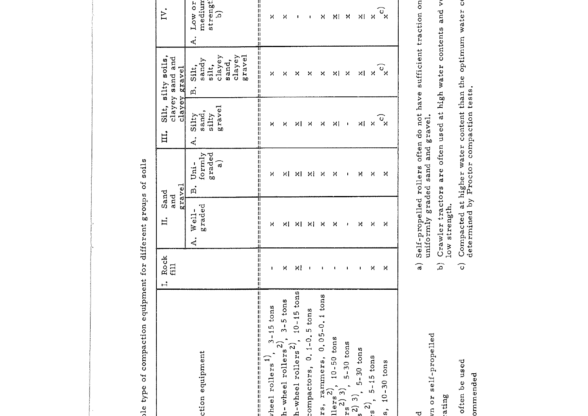sle type of compaction equipment for different groups of soils le type of compaction equipment for different groups of soils

··-····---:----------------,.

|                                                                                                                                                                                         | $\begin{array}{c} \text{I. Rock} \\ \text{fill} \end{array}$ | II. Sand<br>and    | gravel                                       | III. Silt, silty soils,<br>clayey sand and | clayey gravel                                                     | $\sum$                                                   |
|-----------------------------------------------------------------------------------------------------------------------------------------------------------------------------------------|--------------------------------------------------------------|--------------------|----------------------------------------------|--------------------------------------------|-------------------------------------------------------------------|----------------------------------------------------------|
| ction equipment                                                                                                                                                                         |                                                              | graded<br>A. Well- | formly<br>graded<br>$\widehat{a}$<br>B. Uni- | gravel<br>sand,<br>silty<br>A. Silty       | clayey<br>clayey<br>gravel<br>sandy<br>sand,<br>silt,<br>B. Silt, | strengt<br>medium<br>A. Low or<br>$\widehat{\mathbf{c}}$ |
| wheel rollers $\left.\begin{array}{cc} 1, & 3-15 \text{ tons} \\ h-\text{wheel voltage} & 2, & 3-5 \text{ tons} \\ h-\text{wheel voltage} & 2, & 10-15 \text{ tons} \end{array}\right $ | ŧ                                                            | ×                  | ×<br>II<br>II                                | ×<br>П                                     | $\mathbf{\hat{x}}$<br>ц                                           | <br>       <br>    <br>×<br>Л                            |
|                                                                                                                                                                                         | ×                                                            | ×l                 | ×l                                           | ×                                          | ×                                                                 | ×                                                        |
|                                                                                                                                                                                         | ×l                                                           | ×I                 | ×I                                           | ×I                                         | ×                                                                 | I                                                        |
| tompactors, 0.1-0.5 tons                                                                                                                                                                | ŧ                                                            | ×I                 | ×l                                           | ×                                          | X                                                                 | ı                                                        |
| $rs$ , rammers, $0.05-0.1$ tons                                                                                                                                                         | ι                                                            | ×                  | ×                                            | ×                                          | ×                                                                 | X                                                        |
| llers <sup>2)</sup> , 10-50 tons<br>$x_s^{2}$ ) 3), 5-30 tons                                                                                                                           |                                                              | ×                  | ×                                            | ×I                                         | ×I                                                                | NI                                                       |
|                                                                                                                                                                                         |                                                              | ŧ                  | ı                                            | $\blacksquare$                             | Χ                                                                 | Χ                                                        |
| $\begin{bmatrix} 2 & 3 \\ 5 & -30 \end{bmatrix}$ , 5-30 tons                                                                                                                            | I                                                            | ×                  | Χ                                            | $\mathsf{M}$                               | ×I                                                                | ΧI                                                       |
| $(s^2)$ , 5-15 tons                                                                                                                                                                     | ×                                                            | ×                  | ×                                            | ×                                          | ×                                                                 | Χ                                                        |
| $s10-30$ tons                                                                                                                                                                           | ×                                                            | ×                  | ×                                            | $\mathbf{c}^{\mathbf{x}}$                  | $\mathbf{c}^{\prime}_{\mathbf{x}}$                                | $\mathbf{e}^{\times}$                                    |

Self-propelled a) Self-propelled rollers often do not have sufficient traction on Self-propelled rollers often do not have sufficient traction on<br>uniformly graded sand and gravel. uniformly graded sand and gravel.  $\widehat{a}$ 

vn or self-propelled

ರ

ating

vn or self-propelled

recommended

ommended

often be used

- ating and very left tractors are often used at high water contents and verting low strength. Crawler tractors are often used at high water contents and volve strength.  $\widehat{\omega}$
- often be used c) Compacted at higher water content than the optimum water content Compacted at higher water content than the optimum water conternined by Proctor compaction tests. determined by Proctor compaction tests.  $\widehat{\mathbf{c}}$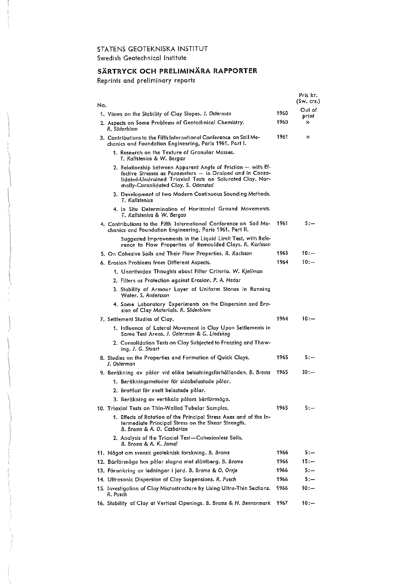### STATENS GEOTEKNISKA INSTITUT Swedish Geotechnical Institute

#### **SARTRYCK OCH PRELIMINARA RAPPORTER**

Reprints and preliminary reports

|                                                                                                                                                                                                                                |      | Pris kr.<br>(Sw, crs.) |
|--------------------------------------------------------------------------------------------------------------------------------------------------------------------------------------------------------------------------------|------|------------------------|
| No.                                                                                                                                                                                                                            | 1960 | Out of                 |
| 1. Views on the Stability of Clay Slopes. J. Osterman                                                                                                                                                                          | 1960 | print                  |
| 2. Aspects on Some Problems of Geotechnical Chemistry.<br>R. Söderblom                                                                                                                                                         |      | »                      |
| 3. Contributions to the Fifth International Conference on Soil Me-<br>chanics and Foundation Engineering, Paris 1961. Part I.                                                                                                  | 1961 | $\mathcal{D}$          |
| 1. Research on the Texture of Granular Masses.<br>T. Kallsienius & W. Bergau                                                                                                                                                   |      |                        |
| 2. Relationship between Apparent Angle of Friction - with Ef-<br>fective Stresses as Parameters - in Drained and in Conso-<br>lidated-Undrained Triaxial Tests on Saturated Clay. Nor-<br>mally-Consolidated Clay. S. Odenstad |      |                        |
| 3. Development of two Modern Continuous Sounding Methods.<br>T. Kallstenius                                                                                                                                                    |      |                        |
| 4. In Situ Determination of Horizontal Ground Movements.<br>T. Kallstenius & W. Bergau                                                                                                                                         |      |                        |
| 4. Contributions to the Fifth International Conference on Soil Me-<br>chanics and Foundation Engineering, Paris 1961. Part II.                                                                                                 | 1961 | $5: -$                 |
| Suggested Improvements in the Liquid Limit Test, with Refe-<br>rence to Flow Properties of Remoulded Clays. R. Karlsson                                                                                                        |      |                        |
| 5. On Cohesive Soils and Their Flow Properties, R. Karlsson                                                                                                                                                                    | 1963 | 10:                    |
| 6. Erosion Problems from Different Aspects.                                                                                                                                                                                    | 1964 | $10:-$                 |
| 1. Unorthodox Thoughts about Filter Criteria. W. Kjellman                                                                                                                                                                      |      |                        |
| 2. Filters as Protection against Erosion. P. A. Hedar                                                                                                                                                                          |      |                        |
| 3. Stability of Armour Layer of Uniform Stones in Running<br>Water, S. Andersson                                                                                                                                               |      |                        |
| 4. Some Laboratory Experiments on the Dispersion and Ero-<br>sion of Clay Materials. R. Söderblom                                                                                                                              |      |                        |
| 7. Settlement Studies of Clay.                                                                                                                                                                                                 | 1964 | $10:-$                 |
| 1. Influence of Lateral Movement in Clay Upon Settlements in<br>Some Test Areas, J. Osterman & G. Lindskog                                                                                                                     |      |                        |
| 2. Consolidation Tests on Clay Subjected to Freezing and Thaw-<br>ing. J. G. Stuart                                                                                                                                            |      |                        |
| 8. Studies on the Properties and Formation of Quick Clays.<br>J. Osierman                                                                                                                                                      | 1965 | 5.—                    |
| 9. Beräkning av pålar vid olika belastningsförhållanden. B. Broms                                                                                                                                                              | 1965 | $30:-$                 |
| 1. Beräkningsmetoder för sidobelastade pålar.                                                                                                                                                                                  |      |                        |
| 2. Brottlast för snett belastade pålar.                                                                                                                                                                                        |      |                        |
| 3. Beräkning av vertikala pålars bärförmåga.                                                                                                                                                                                   |      |                        |
| 10. Triaxial Tesis on Thin-Walled Tubular Samples.                                                                                                                                                                             | 1965 | 5:—                    |
| 1. Effects of Rotation of the Principal Stress Axes and of the In-<br>termediate Principal Stress on the Shear Strength.<br>B. Broms & A. O. Casbarian                                                                         |      |                        |
| 2. Analysis of the Triaxial Test-Cohesionless Soils.<br>B. Broms & A. K. Jamal                                                                                                                                                 |      |                        |
| 11. Något om svensk geoteknisk forskning. B. Broms                                                                                                                                                                             | 1966 | 5:—                    |
| 12. Bärförmåga hos pålar slagna mot släntberg. B. Broms                                                                                                                                                                        | 1966 | $15 -$                 |
| 13. Förankring av ledningar i jord. B. Broms & O. Orrje                                                                                                                                                                        | 1966 | $5:-$                  |
| 14. Ultrasonic Dispersion of Clay Suspensions. R. Pusch                                                                                                                                                                        | 1966 | 5.—                    |
| 15. Investigation of Clay Microstructure by Using Ultra-Thin Sections.<br>R. Pusch                                                                                                                                             | 1966 | 10:—                   |
| 16. Stability of Clay at Vertical Openings. B. Broms & H. Bennermark                                                                                                                                                           | 1967 | $10: -$                |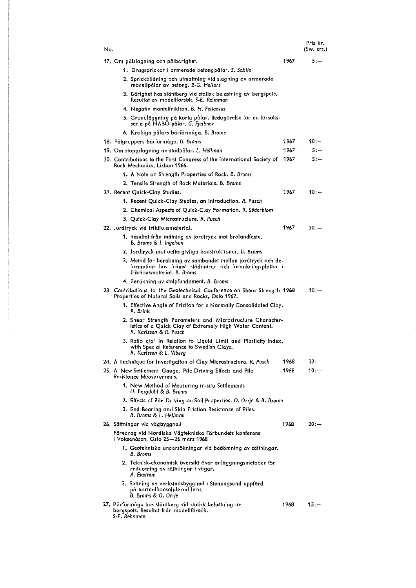| No. |                                                                                                                                                        |      | Pris kr.<br>(Sw. crs.) |
|-----|--------------------------------------------------------------------------------------------------------------------------------------------------------|------|------------------------|
|     | 17. Om pålslagning och pålbärighet.                                                                                                                    | 1967 | $5:-$                  |
|     | 1. Dragsprickor i armerade betongpålar. S. Sahlin                                                                                                      |      |                        |
|     | 2, Sprickbildning och utmattning vid slagning av armerade<br>modellpålar av betong. B-G. Hellers                                                       |      |                        |
|     | 3. Bärighet hos släntberg vid statisk belastning av bergspets.<br>Resultat av modellförsök. S-E. Rehnman                                               |      |                        |
|     | 4. Negativ mantelfriktion, B. H. Fellenius                                                                                                             |      |                        |
|     | 5. Grundläggning på korta pålar. Redogörelse för en försöks-<br>serie på NABO-pålar. G. Fjelkner                                                       |      |                        |
|     | 6. Krokiga pålars bärförmåga. B. Broms                                                                                                                 |      |                        |
|     | 18. Pålgruppers bärförmåga. B. Broms                                                                                                                   | 1967 | $10:-$                 |
|     | 19. Om stoppslagning av stödpålar. L. Hellman                                                                                                          | 1967 | $5. -$                 |
|     | 20. Contributions to the First Congress of the International Society of<br>Rock Mechanics, Lisbon 1966.                                                | 1967 | $5: -$                 |
|     | 1. A Note on Strength Properties of Rock. B. Broms                                                                                                     |      |                        |
|     | 2. Tensile Strength of Rock Materials. B. Broms                                                                                                        |      |                        |
|     | 21. Recent Quick-Clay Studies,                                                                                                                         | 1967 | $10: -$                |
|     | 1. Recent Quick-Clay Studies, an Introduction. R. Pusch                                                                                                |      |                        |
|     | 2. Chemical Aspects of Quick-Clay Formation. R. Söderblom                                                                                              |      |                        |
|     | 3. Quick-Clay Microstructure. R. Pusch                                                                                                                 |      |                        |
|     | 22. Jordtryck vid friktionsmaterial.                                                                                                                   | 1967 | $30:-$                 |
|     | 1. Resultat från mätning av jordtryck mot brolandfäste.<br>B. Broms & I. Ingelson                                                                      |      |                        |
|     | 2. Jordtryck mot oeftergivliga konstruktioner. B. Broms                                                                                                |      |                        |
|     | 3. Metod för beräkning av sambandet mellan jordtryck och de-<br>formation hos främst stödmurar och förankringsplattor i<br>friktionsmaterial. B. Broms |      |                        |
|     | 4. Beräkning av stolpfundament. B. Broms                                                                                                               |      |                        |
|     | 23. Contributions to the Geotechnical Conference on Shear Strength 1968<br>Properties of Natural Soils and Rocks, Oslo 1967.                           |      | 10 : —                 |
|     | 1. Effective Angle of Friction for a Normally Consolidated Clay.<br>R. Brink                                                                           |      |                        |
|     | 2. Shear Strength Parameters and Microstructure Character-<br>istics of a Quick Clay of Extremely High Water Content.<br>R. Karlsson & R. Pusch        |      |                        |
|     | 3. Ratio c/p' in Relation to Liquid Limit and Plasticity Index,<br>with Special Reference to Swedish Clays.<br>R. Karlsson & L. Viberg                 |      |                        |
|     | 24. A Technique for Investigation of Clay Microstructure. R. Pusch                                                                                     | 1968 | 22:—                   |
|     | 25. A New Settlement Gauge, Pile Driving Effects and Pile<br>Resistance Measurements.                                                                  | 1968 | $10: -$                |
|     | 1. New Method of Measuring in-situ Settlements<br>U. Bergdahl & B. Broms                                                                               |      |                        |
|     | 2. Effects of Pile Driving on Soil Properties. O. Orrje & B. Broms                                                                                     |      |                        |
|     | 3. End Bearing and Skin Friction Resistance of Piles.<br>B. Broms & L. Hellman                                                                         |      |                        |
|     | 26. Sättningar vid vägbyggnad                                                                                                                          | 1968 | $20: -$                |
|     | Föredrag vid Nordiska Vägtekniska Förbundets konferens<br>i Voksenåsen, Oslo 25–26 mars 1968                                                           |      |                        |
|     | 1. Geotekniska undersökningar vid bedömning av sättningar.<br>B. Broms                                                                                 |      |                        |
|     | 2. Teknisk-ekonomisk översikt över anläggningsmetoder för<br>reducering av sättningar i vägar.<br>A. Ekström                                           |      |                        |
|     | 3. Sättning av verkstadsbyggnad i Stenungsund uppförd<br>på normalkonsoliderad lera.<br>B. Broms & O. Orrie                                            |      |                        |
|     | 27. Bärförmåga hos släntberg vid statisk belastning av<br>bergspets. Resultat från modellförsök.<br>S-E. Rehnman                                       | 1968 | $15 -$                 |